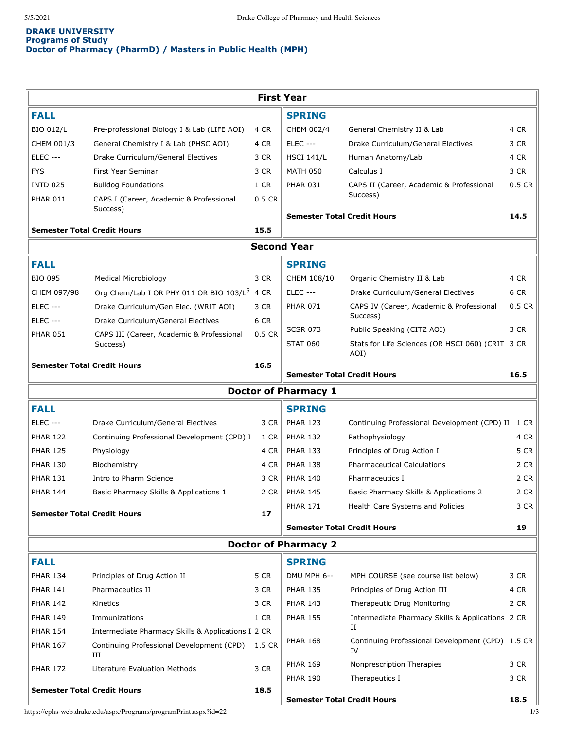## **DRAKE UNIVERSITY Programs of Study Doctor of Pharmacy (PharmD) / Masters in Public Health (MPH)**

|                                            |                                                          |                                    | <b>First Year</b>                  |                                                          |          |  |  |  |  |  |
|--------------------------------------------|----------------------------------------------------------|------------------------------------|------------------------------------|----------------------------------------------------------|----------|--|--|--|--|--|
| <b>FALL</b>                                |                                                          |                                    | <b>SPRING</b>                      |                                                          |          |  |  |  |  |  |
| <b>BIO 012/L</b>                           | Pre-professional Biology I & Lab (LIFE AOI)              | 4 CR                               | CHEM 002/4                         | General Chemistry II & Lab                               | 4 CR     |  |  |  |  |  |
| CHEM 001/3                                 | General Chemistry I & Lab (PHSC AOI)                     | 4 CR                               | <b>ELEC ---</b>                    | Drake Curriculum/General Electives                       | 3 CR     |  |  |  |  |  |
| <b>ELEC ---</b>                            | Drake Curriculum/General Electives                       | 3 CR                               | <b>HSCI 141/L</b>                  | Human Anatomy/Lab                                        | 4 CR     |  |  |  |  |  |
| <b>FYS</b>                                 | First Year Seminar                                       | 3 CR                               | <b>MATH 050</b>                    | Calculus I                                               | 3 CR     |  |  |  |  |  |
| <b>INTD 025</b>                            | <b>Bulldog Foundations</b>                               | 1 CR                               | <b>PHAR 031</b>                    | CAPS II (Career, Academic & Professional                 | $0.5$ CR |  |  |  |  |  |
| <b>PHAR 011</b>                            | CAPS I (Career, Academic & Professional                  | 0.5 CR                             |                                    | Success)                                                 |          |  |  |  |  |  |
| Success)                                   |                                                          |                                    | <b>Semester Total Credit Hours</b> |                                                          | 14.5     |  |  |  |  |  |
| <b>Semester Total Credit Hours</b><br>15.5 |                                                          |                                    |                                    |                                                          |          |  |  |  |  |  |
|                                            | <b>Second Year</b>                                       |                                    |                                    |                                                          |          |  |  |  |  |  |
| <b>FALL</b>                                |                                                          |                                    | <b>SPRING</b>                      |                                                          |          |  |  |  |  |  |
| <b>BIO 095</b>                             |                                                          | 3 CR                               |                                    |                                                          | 4 CR     |  |  |  |  |  |
|                                            | Medical Microbiology                                     |                                    | CHEM 108/10<br><b>ELEC ---</b>     | Organic Chemistry II & Lab                               | 6 CR     |  |  |  |  |  |
| CHEM 097/98                                | Org Chem/Lab I OR PHY 011 OR BIO 103/L <sup>5</sup> 4 CR |                                    |                                    | Drake Curriculum/General Electives                       | $0.5$ CR |  |  |  |  |  |
| <b>ELEC ---</b>                            | Drake Curriculum/Gen Elec. (WRIT AOI)                    | 3 CR                               | <b>PHAR 071</b>                    | CAPS IV (Career, Academic & Professional<br>Success)     |          |  |  |  |  |  |
| <b>ELEC ---</b>                            | Drake Curriculum/General Electives                       | 6 CR                               | <b>SCSR 073</b>                    | Public Speaking (CITZ AOI)                               | 3 CR     |  |  |  |  |  |
| <b>PHAR 051</b>                            | CAPS III (Career, Academic & Professional<br>Success)    | 0.5 CR                             | <b>STAT 060</b>                    | Stats for Life Sciences (OR HSCI 060) (CRIT 3 CR<br>AOI) |          |  |  |  |  |  |
| <b>Semester Total Credit Hours</b>         |                                                          | 16.5                               | <b>Semester Total Credit Hours</b> |                                                          | 16.5     |  |  |  |  |  |
|                                            |                                                          |                                    |                                    |                                                          |          |  |  |  |  |  |
|                                            |                                                          |                                    | <b>Doctor of Pharmacy 1</b>        |                                                          |          |  |  |  |  |  |
| <b>FALL</b>                                |                                                          |                                    | <b>SPRING</b>                      |                                                          |          |  |  |  |  |  |
| <b>ELEC ---</b>                            | Drake Curriculum/General Electives                       | 3 CR                               | <b>PHAR 123</b>                    | Continuing Professional Development (CPD) II 1 CR        |          |  |  |  |  |  |
| <b>PHAR 122</b>                            | Continuing Professional Development (CPD) I              | 1 CR                               | <b>PHAR 132</b>                    | Pathophysiology                                          | 4 CR     |  |  |  |  |  |
| <b>PHAR 125</b>                            | Physiology                                               | 4 CR                               | <b>PHAR 133</b>                    | Principles of Drug Action I                              | 5 CR     |  |  |  |  |  |
| <b>PHAR 130</b>                            | Biochemistry                                             | 4 CR                               | <b>PHAR 138</b>                    | <b>Pharmaceutical Calculations</b>                       | 2 CR     |  |  |  |  |  |
| <b>PHAR 131</b>                            | Intro to Pharm Science                                   | 3 CR                               | <b>PHAR 140</b>                    | Pharmaceutics I                                          | 2 CR     |  |  |  |  |  |
| <b>PHAR 144</b>                            | Basic Pharmacy Skills & Applications 1                   | 2 CR                               | <b>PHAR 145</b>                    | Basic Pharmacy Skills & Applications 2                   | 2 CR     |  |  |  |  |  |
|                                            | <b>Semester Total Credit Hours</b>                       | 17                                 | <b>PHAR 171</b>                    | Health Care Systems and Policies                         | 3 CR     |  |  |  |  |  |
|                                            |                                                          |                                    | <b>Semester Total Credit Hours</b> |                                                          | 19       |  |  |  |  |  |
| <b>Doctor of Pharmacy 2</b>                |                                                          |                                    |                                    |                                                          |          |  |  |  |  |  |
| <b>FALL</b>                                |                                                          |                                    | <b>SPRING</b>                      |                                                          |          |  |  |  |  |  |
| <b>PHAR 134</b>                            | Principles of Drug Action II                             | 5 CR                               | DMU MPH 6--                        | MPH COURSE (see course list below)                       | 3 CR     |  |  |  |  |  |
| <b>PHAR 141</b>                            | Pharmaceutics II                                         | 3 CR                               | <b>PHAR 135</b>                    | Principles of Drug Action III                            | 4 CR     |  |  |  |  |  |
| <b>PHAR 142</b>                            | Kinetics                                                 | 3 CR                               | <b>PHAR 143</b>                    | Therapeutic Drug Monitoring                              | 2 CR     |  |  |  |  |  |
| <b>PHAR 149</b>                            | Immunizations                                            | 1 CR                               | <b>PHAR 155</b>                    | Intermediate Pharmacy Skills & Applications 2 CR         |          |  |  |  |  |  |
| <b>PHAR 154</b>                            | Intermediate Pharmacy Skills & Applications I 2 CR       |                                    |                                    | н                                                        |          |  |  |  |  |  |
| <b>PHAR 167</b>                            | Continuing Professional Development (CPD)                | 1.5 CR                             | <b>PHAR 168</b>                    | Continuing Professional Development (CPD) 1.5 CR<br>IV   |          |  |  |  |  |  |
|                                            | Ш                                                        |                                    | <b>PHAR 169</b>                    | Nonprescription Therapies                                | 3 CR     |  |  |  |  |  |
| <b>PHAR 172</b>                            | Literature Evaluation Methods                            | 3 CR                               | <b>PHAR 190</b>                    | Therapeutics I                                           | 3 CR     |  |  |  |  |  |
|                                            | <b>Semester Total Credit Hours</b>                       | 18.5                               |                                    |                                                          |          |  |  |  |  |  |
|                                            |                                                          | <b>Semester Total Credit Hours</b> |                                    | 18.5                                                     |          |  |  |  |  |  |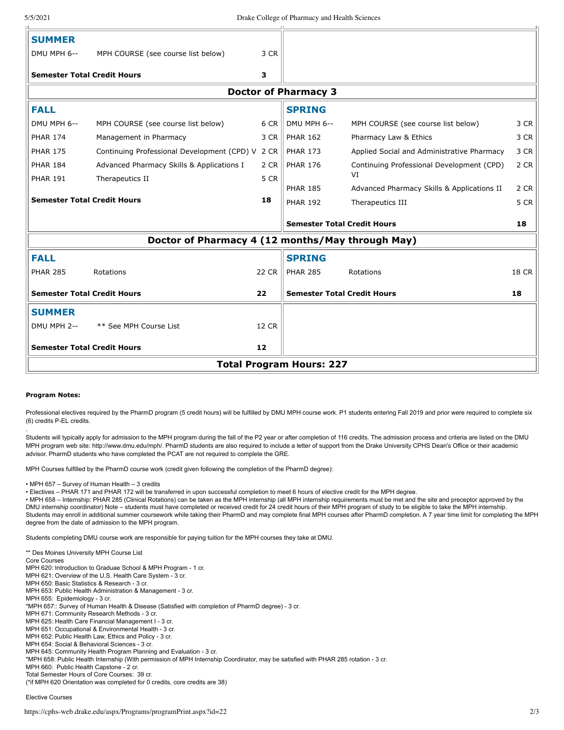| <b>Semester Total Credit Hours</b>               |                                                  | 12           |                                    |                                                  |              |  |  |  |  |
|--------------------------------------------------|--------------------------------------------------|--------------|------------------------------------|--------------------------------------------------|--------------|--|--|--|--|
| <b>SUMMER</b><br>DMU MPH 2--                     | ** See MPH Course List                           | <b>12 CR</b> |                                    |                                                  |              |  |  |  |  |
| <b>Semester Total Credit Hours</b>               |                                                  | 22           | <b>Semester Total Credit Hours</b> |                                                  | 18           |  |  |  |  |
| <b>FALL</b><br><b>PHAR 285</b>                   | Rotations                                        | 22 CR        | <b>SPRING</b><br><b>PHAR 285</b>   | Rotations                                        | <b>18 CR</b> |  |  |  |  |
| Doctor of Pharmacy 4 (12 months/May through May) |                                                  |              |                                    |                                                  |              |  |  |  |  |
|                                                  |                                                  |              | <b>Semester Total Credit Hours</b> |                                                  | 18           |  |  |  |  |
| <b>Semester Total Credit Hours</b>               |                                                  | 18           | <b>PHAR 192</b>                    | Therapeutics III                                 | 5 CR         |  |  |  |  |
| <b>PHAR 191</b>                                  | Therapeutics II                                  | 5 CR         | <b>PHAR 185</b>                    | VI<br>Advanced Pharmacy Skills & Applications II | 2 CR         |  |  |  |  |
| <b>PHAR 184</b>                                  | Advanced Pharmacy Skills & Applications I        | 2 CR         | <b>PHAR 176</b>                    | Continuing Professional Development (CPD)        | 2 CR         |  |  |  |  |
| <b>PHAR 175</b>                                  | Continuing Professional Development (CPD) V 2 CR |              | <b>PHAR 173</b>                    | Applied Social and Administrative Pharmacy       | 3 CR         |  |  |  |  |
| <b>PHAR 174</b>                                  | Management in Pharmacy                           | 3 CR         | <b>PHAR 162</b>                    | Pharmacy Law & Ethics                            | 3 CR         |  |  |  |  |
| DMU MPH 6--                                      | MPH COURSE (see course list below)               | 6 CR         | DMU MPH 6--                        | MPH COURSE (see course list below)               | 3 CR         |  |  |  |  |
| <b>FALL</b>                                      |                                                  |              | <b>SPRING</b>                      |                                                  |              |  |  |  |  |
| <b>Doctor of Pharmacy 3</b>                      |                                                  |              |                                    |                                                  |              |  |  |  |  |
| <b>Semester Total Credit Hours</b>               |                                                  | 3            |                                    |                                                  |              |  |  |  |  |
| <b>SUMMER</b><br>DMU MPH 6--                     | MPH COURSE (see course list below)               | 3 CR         |                                    |                                                  |              |  |  |  |  |
|                                                  |                                                  |              |                                    |                                                  |              |  |  |  |  |

## **Program Notes:**

.

Professional electives required by the PharmD program (5 credit hours) will be fulfilled by DMU MPH course work. P1 students entering Fall 2019 and prior were required to complete six (6) credits P-EL credits.

Students will typically apply for admission to the MPH program during the fall of the P2 year or after completion of 116 credits. The admission process and criteria are listed on the DMU MPH program web site: http://www.dmu.edu/mph/. PharmD students are also required to include a letter of support from the Drake University CPHS Dean's Office or their academic advisor. PharmD students who have completed the PCAT are not required to complete the GRE.

MPH Courses fulfilled by the PharmD course work (credit given following the completion of the PharmD degree):

• MPH 657 – Survey of Human Health – 3 credits

• Electives – PHAR 171 and PHAR 172 will be transferred in upon successful completion to meet 6 hours of elective credit for the MPH degree.

• MPH 658 – Internship: PHAR 285 (Clinical Rotations) can be taken as the MPH internship (all MPH internship requirements must be met and the site and preceptor approved by the DMU internship coordinator) Note – students must have completed or received credit for 24 credit hours of their MPH program of study to be eligible to take the MPH internship. Students may enroll in additional summer coursework while taking their PharmD and may complete final MPH courses after PharmD completion. A 7 year time limit for completing the MPH degree from the date of admission to the MPH program.

Students completing DMU course work are responsible for paying tuition for the MPH courses they take at DMU.

\*\* Des Moines University MPH Course List Core Courses MPH 620: Introduction to Graduae School & MPH Program - 1 cr. MPH 621: Overview of the U.S. Health Care System - 3 cr. MPH 650: Basic Statistics & Research - 3 cr. MPH 653: Public Health Administration & Management - 3 cr. MPH 655: Epidemiology - 3 cr. \*MPH 657:: Survey of Human Health & Disease (Satisfied with completion of PharmD degree) - 3 cr. MPH 671: Community Research Methods - 3 cr. MPH 625: Health Care Financial Management I - 3 cr. MPH 651: Occupational & Environmental Health - 3 cr. MPH 652: Public Health Law, Ethics and Policy - 3 cr. MPH 654: Social & Behavioral Sciences - 3 cr. MPH 645: Community Health Program Planning and Evaluation - 3 cr. \*MPH 658: Public Health Internship (With permission of MPH Internship Coordinator, may be satisfied with PHAR 285 rotation - 3 cr. MPH 660: Public Health Capstone - 2 cr. Total Semester Hours of Core Courses: 39 cr. (\*if MPH 620 Orientation was completed for 0 credits, core credits are 38)

## Elective Courses